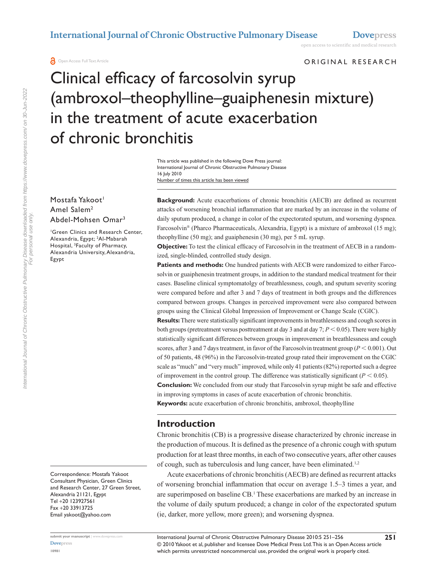open access to scientific and medical research

**A** Open Access Full Text Article

#### ORIGINAL RESEARCH

# Clinical efficacy of farcosolvin syrup (ambroxol–theophylline–guaiphenesin mixture) in the treatment of acute exacerbation of chronic bronchitis

Number of times this article has been viewed This article was published in the following Dove Press journal: International Journal of Chronic Obstructive Pulmonary Disease 16 July 2010

#### Mostafa Yakoot<sup>1</sup> Amel Salem2 Abdel-Mohsen Omar3

1 Green Clinics and Research Center, Alexandria, Egypt; <sup>2</sup>Al-Mabarah Hospital, 3 Faculty of Pharmacy, Alexandria University, Alexandria, Egypt

Correspondence: Mostafa Yakoot Consultant Physician, Green Clinics and Research Center, 27 Green Street, Alexandria 21121, Egypt Tel +20 123927561 Fax +20 33913725 Email yakoot@yahoo.com

**Background:** Acute exacerbations of chronic bronchitis (AECB) are defined as recurrent attacks of worsening bronchial inflammation that are marked by an increase in the volume of daily sputum produced, a change in color of the expectorated sputum, and worsening dyspnea. Farcosolvin® (Pharco Pharmaceuticals, Alexandria, Egypt) is a mixture of ambroxol (15 mg); theophylline (50 mg); and guaiphenesin (30 mg), per 5 mL syrup.

**Objective:** To test the clinical efficacy of Farcosolvin in the treatment of AECB in a randomized, single-blinded, controlled study design.

**Patients and methods:** One hundred patients with AECB were randomized to either Farcosolvin or guaiphenesin treatment groups, in addition to the standard medical treatment for their cases. Baseline clinical symptomatolgy of breathlessness, cough, and sputum severity scoring were compared before and after 3 and 7 days of treatment in both groups and the differences compared between groups. Changes in perceived improvement were also compared between groups using the Clinical Global Impression of Improvement or Change Scale (CGIC).

**Results:** There were statistically significant improvements in breathlessness and cough scores in both groups (pretreatment versus posttreatment at day 3 and at day 7;  $P < 0.05$ ). There were highly statistically significant differences between groups in improvement in breathlessness and cough scores, after 3 and 7 days treatment, in favor of the Farcosolvin treatment group ( $P < 0.001$ ). Out of 50 patients, 48 (96%) in the Farcosolvin-treated group rated their improvement on the CGIC scale as "much" and "very much" improved, while only 41 patients (82%) reported such a degree of improvement in the control group. The difference was statistically significant ( $P < 0.05$ ).

**Conclusion:** We concluded from our study that Farcosolvin syrup might be safe and effective in improving symptoms in cases of acute exacerbation of chronic bronchitis.

**Keywords:** acute exacerbation of chronic bronchitis, ambroxol, theophylline

### **Introduction**

Chronic bronchitis (CB) is a progressive disease characterized by chronic increase in the production of mucous. It is defined as the presence of a chronic cough with sputum production for at least three months, in each of two consecutive years, after other causes of cough, such as tuberculosis and lung cancer, have been eliminated.<sup>1,2</sup>

Acute exacerbations of chronic bronchitis (AECB) are defined as recurrent attacks of worsening bronchial inflammation that occur on average 1.5–3 times a year, and are superimposed on baseline CB.<sup>1</sup> These exacerbations are marked by an increase in the volume of daily sputum produced; a change in color of the expectorated sputum (ie, darker, more yellow, more green); and worsening dyspnea.

**[Dovepress](www.dovepress.com) 10981**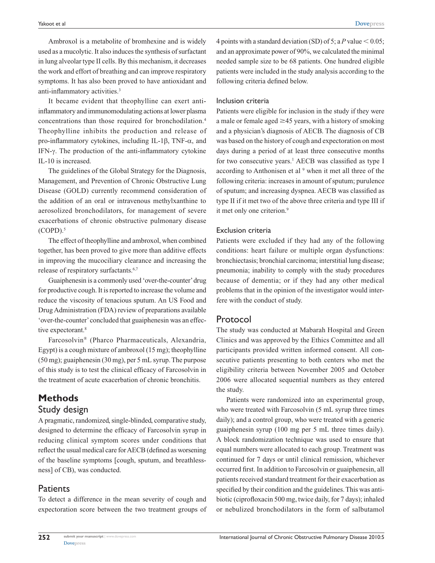Ambroxol is a metabolite of bromhexine and is widely used as a mucolytic. It also induces the synthesis of surfactant in lung alveolar type II cells. By this mechanism, it decreases the work and effort of breathing and can improve respiratory symptoms. It has also been proved to have antioxidant and anti-inflammatory activities.3

It became evident that theophylline can exert antiinflammatory and immunomodulating actions at lower plasma concentrations than those required for bronchodilation.4 Theophylline inhibits the production and release of pro-inflammatory cytokines, including IL-1β, TNF-α, and IFN-γ. The production of the anti-inflammatory cytokine IL-10 is increased.

The guidelines of the Global Strategy for the Diagnosis, Management, and Prevention of Chronic Obstructive Lung Disease (GOLD) currently recommend consideration of the addition of an oral or intravenous methylxanthine to aerosolized bronchodilators, for management of severe exacerbations of chronic obstructive pulmonary disease  $(COPD).$ <sup>5</sup>

The effect of theophylline and ambroxol, when combined together, has been proved to give more than additive effects in improving the mucociliary clearance and increasing the release of respiratory surfactants.<sup>6,7</sup>

Guaiphenesin is a commonly used 'over-the-counter' drug for productive cough. It is reported to increase the volume and reduce the viscosity of tenacious sputum. An US Food and Drug Administration (FDA) review of preparations available 'over-the-counter' concluded that guaiphenesin was an effective expectorant.<sup>8</sup>

Farcosolvin® (Pharco Pharmaceuticals, Alexandria, Egypt) is a cough mixture of ambroxol (15 mg); theophylline (50 mg); guaiphenesin (30 mg), per 5 mL syrup. The purpose of this study is to test the clinical efficacy of Farcosolvin in the treatment of acute exacerbation of chronic bronchitis.

## **Methods**

### Study design

A pragmatic, randomized, single-blinded, comparative study, designed to determine the efficacy of Farcosolvin syrup in reducing clinical symptom scores under conditions that reflect the usual medical care for AECB (defined as worsening of the baseline symptoms [cough, sputum, and breathlessness] of CB), was conducted.

### **Patients**

To detect a difference in the mean severity of cough and expectoration score between the two treatment groups of 4 points with a standard deviation (SD) of 5; a P value  $< 0.05$ ; and an approximate power of 90%, we calculated the minimal needed sample size to be 68 patients. One hundred eligible patients were included in the study analysis according to the following criteria defined below.

#### Inclusion criteria

Patients were eligible for inclusion in the study if they were a male or female aged  $\geq$  45 years, with a history of smoking and a physician's diagnosis of AECB. The diagnosis of CB was based on the history of cough and expectoration on most days during a period of at least three consecutive months for two consecutive years.<sup>1</sup> AECB was classified as type I according to Anthonisen et al<sup>9</sup> when it met all three of the following criteria: increases in amount of sputum; purulence of sputum; and increasing dyspnea. AECB was classified as type II if it met two of the above three criteria and type III if it met only one criterion.<sup>9</sup>

#### Exclusion criteria

Patients were excluded if they had any of the following conditions: heart failure or multiple organ dysfunctions: bronchiectasis; bronchial carcinoma; interstitial lung disease; pneumonia; inability to comply with the study procedures because of dementia; or if they had any other medical problems that in the opinion of the investigator would interfere with the conduct of study.

### Protocol

The study was conducted at Mabarah Hospital and Green Clinics and was approved by the Ethics Committee and all participants provided written informed consent. All consecutive patients presenting to both centers who met the eligibility criteria between November 2005 and October 2006 were allocated sequential numbers as they entered the study.

Patients were randomized into an experimental group, who were treated with Farcosolvin (5 mL syrup three times daily); and a control group, who were treated with a generic guaiphenesin syrup (100 mg per 5 mL three times daily). A block randomization technique was used to ensure that equal numbers were allocated to each group. Treatment was continued for 7 days or until clinical remission, whichever occurred first. In addition to Farcosolvin or guaiphenesin, all patients received standard treatment for their exacerbation as specified by their condition and the guidelines. This was antibiotic (ciprofloxacin 500 mg, twice daily, for 7 days); inhaled or nebulized bronchodilators in the form of salbutamol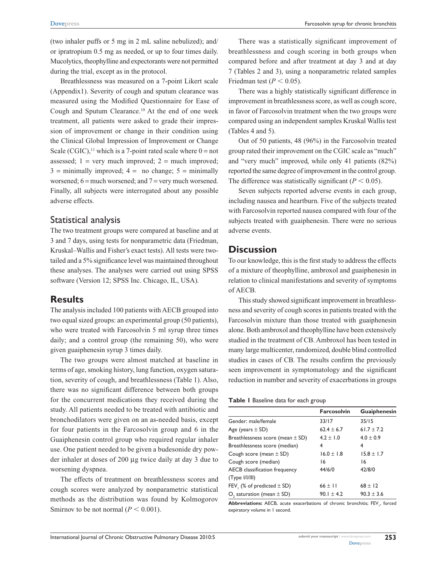(two inhaler puffs or 5 mg in 2 mL saline nebulized); and/ or ipratropium 0.5 mg as needed, or up to four times daily. Mucolytics, theophylline and expectorants were not permitted during the trial, except as in the protocol.

Breathlessness was measured on a 7-point Likert scale (Appendix1). Severity of cough and sputum clearance was measured using the Modified Questionnaire for Ease of Cough and Sputum Clearance.10 At the end of one week treatment, all patients were asked to grade their impression of improvement or change in their condition using the Clinical Global Impression of Improvement or Change Scale (CGIC),<sup>11</sup> which is a 7-point rated scale where  $0 = not$ assessed;  $1 = \text{very much improved}; 2 = \text{much improved};$  $3 =$  minimally improved;  $4 =$  no change;  $5 =$  minimally worsened;  $6 =$  much worsened; and  $7 =$  very much worsened. Finally, all subjects were interrogated about any possible adverse effects.

### Statistical analysis

The two treatment groups were compared at baseline and at 3 and 7 days, using tests for nonparametric data (Friedman, Kruskal–Wallis and Fisher's exact tests). All tests were twotailed and a 5% significance level was maintained throughout these analyses. The analyses were carried out using SPSS software (Version 12; SPSS Inc. Chicago, IL, USA).

### **Results**

The analysis included 100 patients with AECB grouped into two equal sized groups: an experimental group (50 patients), who were treated with Farcosolvin 5 ml syrup three times daily; and a control group (the remaining 50), who were given guaiphenesin syrup 3 times daily.

The two groups were almost matched at baseline in terms of age, smoking history, lung function, oxygen saturation, severity of cough, and breathlessness (Table 1). Also, there was no significant difference between both groups for the concurrent medications they received during the study. All patients needed to be treated with antibiotic and bronchodilators were given on an as-needed basis, except for four patients in the Farcosolvin group and 6 in the Guaiphenesin control group who required regular inhaler use. One patient needed to be given a budesonide dry powder inhaler at doses of 200 µg twice daily at day 3 due to worsening dyspnea.

The effects of treatment on breathlessness scores and cough scores were analyzed by nonparametric statistical methods as the distribution was found by Kolmogorov Smirnov to be not normal  $(P < 0.001)$ .

There was a statistically significant improvement of breathlessness and cough scoring in both groups when compared before and after treatment at day 3 and at day 7 (Tables 2 and 3), using a nonparametric related samples Friedman test ( $P < 0.05$ ).

There was a highly statistically significant difference in improvement in breathlessness score, as well as cough score, in favor of Farcosolvin treatment when the two groups were compared using an independent samples Kruskal Wallis test (Tables 4 and 5).

Out of 50 patients, 48 (96%) in the Farcosolvin treated group rated their improvement on the CGIC scale as "much" and "very much" improved, while only 41 patients (82%) reported the same degree of improvement in the control group. The difference was statistically significant  $(P < 0.05)$ .

Seven subjects reported adverse events in each group, including nausea and heartburn. Five of the subjects treated with Farcosolvin reported nausea compared with four of the subjects treated with guaiphenesin. There were no serious adverse events.

### **Discussion**

To our knowledge, this is the first study to address the effects of a mixture of theophylline, ambroxol and guaiphenesin in relation to clinical manifestations and severity of symptoms of AECB.

This study showed significant improvement in breathlessness and severity of cough scores in patients treated with the Farcosolvin mixture than those treated with guaiphenesin alone. Both ambroxol and theophylline have been extensively studied in the treatment of CB. Ambroxol has been tested in many large multicenter, randomized, double blind controlled studies in cases of CB. The results confirm the previously seen improvement in symptomatology and the significant reduction in number and severity of exacerbations in groups

#### **Table 1** Baseline data for each group

|                                      | <b>Farcosolvin</b> | Guaiphenesin   |
|--------------------------------------|--------------------|----------------|
| Gender: male/female                  | 33/17              | 35/15          |
| Age (years $\pm$ SD)                 | $62.4 \pm 6.7$     | $61.7 \pm 7.2$ |
| Breathlessness score (mean $\pm$ SD) | $4.2 \pm 1.0$      | $4.0 \pm 0.9$  |
| Breathlessness score (median)        | 4                  | 4              |
| Cough score (mean $\pm$ SD)          | $16.0 \pm 1.8$     | $15.8 \pm 1.7$ |
| Cough score (median)                 | 16                 | 16             |
| AECB classification frequency        | 44/6/0             | 42/8/0         |
| (Type I/IIII)                        |                    |                |
| FEV, $%$ of predicted $\pm$ SD)      | $66 \pm 11$        | $68 \pm 12$    |
| $O2$ saturation (mean $\pm$ SD)      | $90.1 \pm 4.2$     | $90.3 \pm 3.6$ |

**Abbreviations:** AECB, acute exacerbations of chronic bronchitis; FEV<sub>1</sub>, forced expiratory volume in 1 second.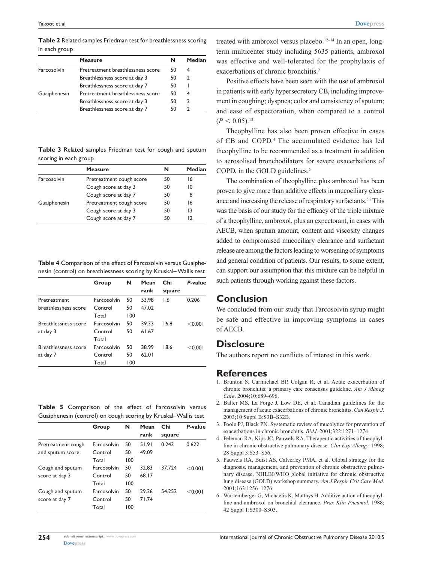**Table 2** Related samples Friedman test for breathlessness scoring in each group

|              | <b>Measure</b>                    | N  | Median |
|--------------|-----------------------------------|----|--------|
| Farcosolvin  | Pretreatment breathlessness score | 50 |        |
|              | Breathlessness score at day 3     | 50 | 2      |
|              | Breathlessness score at day 7     | 50 |        |
| Guaiphenesin | Pretreatment breathlessness score | 50 |        |
|              | Breathlessness score at day 3     | 50 | 3      |
|              | Breathlessness score at day 7     | 50 |        |
|              |                                   |    |        |

**Table 3** Related samples Friedman test for cough and sputum scoring in each group

|              | <b>Measure</b>           | N  | Median |
|--------------|--------------------------|----|--------|
| Farcosolvin  | Pretreatment cough score | 50 | 16     |
|              | Cough score at day 3     | 50 | ١O     |
|              | Cough score at day 7     | 50 | 8      |
| Guaiphenesin | Pretreatment cough score | 50 | 16     |
|              | Cough score at day 3     | 50 | 13     |
|              | Cough score at day 7     | 50 |        |

**Table 4** Comparison of the effect of Farcosolvin versus Guaiphenesin (control) on breathlessness scoring by Kruskal– Wallis test

|                             | Group       | N   | Mean<br>rank | Chi<br>square | P-value |
|-----------------------------|-------------|-----|--------------|---------------|---------|
|                             |             |     |              |               |         |
| Pretreatment                | Farcosolvin | 50  | 53.98        | 1.6           | 0.206   |
| breathlessness score        | Control     | 50  | 47.02        |               |         |
|                             | Total       | 100 |              |               |         |
| <b>Breathlessness score</b> | Farcosolvin | 50  | 39.33        | 16.8          | < 0.001 |
| at day 3                    | Control     | 50  | 61.67        |               |         |
|                             | Total       |     |              |               |         |
| <b>Breathlessness score</b> | Farcosolvin | 50  | 38.99        | 18.6          | < 0.001 |
| at day 7                    | Control     | 50  | 62.01        |               |         |
|                             | Total       | 100 |              |               |         |

**Table 5** Comparison of the effect of Farcosolvin versus Guaiphenesin (control) on cough scoring by Kruskal–Wallis test

|                    | Group       | N   | Mean  | Chi    | P-value  |
|--------------------|-------------|-----|-------|--------|----------|
|                    |             |     | rank  | square |          |
| Pretreatment cough | Farcosolvin | 50  | 51.91 | 0.243  | 0.622    |
| and sputum score   | Control     | 50  | 49.09 |        |          |
|                    | Total       | 100 |       |        |          |
| Cough and sputum   | Farcosolvin | 50  | 32.83 | 37.724 | $<$ 0.00 |
| score at day 3     | Control     | 50  | 68.17 |        |          |
|                    | Total       | 100 |       |        |          |
| Cough and sputum   | Farcosolvin | 50  | 29.26 | 54.252 | $<$ 0.00 |
| score at day 7     | Control     | 50  | 71.74 |        |          |
|                    | Total       | 100 |       |        |          |

treated with ambroxol versus placebo.<sup>12–14</sup> In an open,  $long$ term multicenter study including 5635 patients, ambroxol was effective and well-tolerated for the prophylaxis of exacerbations of chronic bronchitis.<sup>2</sup>

Positive effects have been seen with the use of ambroxol in patients with early hypersecretory CB, including improvement in coughing; dyspnea; color and consistency of sputum; and ease of expectoration, when compared to a control  $(P < 0.05).$ <sup>13</sup>

Theophylline has also been proven effective in cases of CB and COPD.<sup>4</sup> The accumulated evidence has led theophylline to be recommended as a treatment in addition to aerosolised bronchodilators for severe exacerbations of COPD, in the GOLD guidelines. $5$ 

The combination of theophylline plus ambroxol has been proven to give more than additive effects in mucociliary clearance and increasing the release of respiratory surfactants.6,7 This was the basis of our study for the efficacy of the triple mixture of a theophylline, ambroxol, plus an expectorant, in cases with AECB, when sputum amount, content and viscosity changes added to compromised mucociliary clearance and surfactant release are among the factors leading to worsening of symptoms and general condition of patients. Our results, to some extent, can support our assumption that this mixture can be helpful in such patients through working against these factors.

### **Conclusion**

We concluded from our study that Farcosolvin syrup might be safe and effective in improving symptoms in cases of AECB.

### **Disclosure**

The authors report no conflicts of interest in this work.

### **References**

- 1. Brunton S, Carmichael BP, Colgan R, et al. Acute exacerbation of chronic bronchitis: a primary care consensus guideline. *Am J Manag Care*. 2004;10:689–696.
- 2. Balter MS, La Forge J, Low DE, et al. Canadian guidelines for the management of acute exacerbations of chronic bronchitis. *Can Respir J*. 2003;10 Suppl B:S3B–S32B.
- 3. Poole PJ, Black PN. Systematic review of mucolytics for prevention of exacerbations in chronic bronchitis. *BMJ*. 2001;322:1271–1274.
- 4. Peleman RA, Kips JC, Pauwels RA. Therapeutic activities of theophylline in chronic obstructive pulmonary disease. *Clin Exp Allergy*. 1998; 28 Suppl 3:S53–S56.
- 5. Pauwels RA, Buist AS, Calverley PMA, et al. Global strategy for the diagnosis, management, and prevention of chronic obstructive pulmonary disease. NHLBI/WHO global initiative for chronic obstructive lung disease (GOLD) workshop summary. *Am J Respir Crit Care Med*. 2001;163:1256–1276.
- 6. Wurtemberger G, Michaelis K, Matthys H. Additive action of theophylline and ambroxol on bronchial clearance. *Prax Klin Pneumol.* 1988; 42 Suppl 1:S300–S303.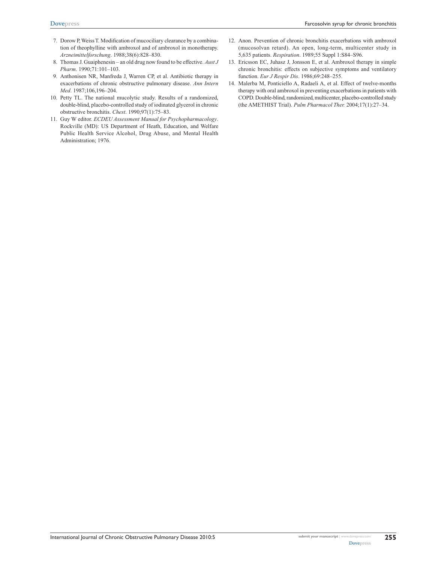- 7. Dorow P, Weiss T. Modification of mucociliary clearance by a combination of theophylline with ambroxol and of ambroxol in monotherapy. *Arzneimittelforschung*. 1988;38(6):828–830.
- 8. Thomas J. Guaiphenesin an old drug now found to be effective. *Aust J Pharm*. 1990;71:101–103.
- 9. Anthonisen NR, Manfreda J, Warren CP, et al. Antibiotic therapy in exacerbations of chronic obstructive pulmonary disease. *Ann Intern Med*. 1987;106,196–204.
- 10. Petty TL. The national mucolytic study. Results of a randomized, double-blind, placebo-controlled study of iodinated glycerol in chronic obstructive bronchitis. *Chest*. 1990;97(1):75–83.
- 11. Guy W editor. *ECDEU Assessment Manual for Psychopharmacology*. Rockville (MD): US Department of Heath, Education, and Welfare Public Health Service Alcohol, Drug Abuse, and Mental Health Administration; 1976.
- 12. Anon. Prevention of chronic bronchitis exacerbations with ambroxol (mucosolvan retard). An open, long-term, multicenter study in 5,635 patients. *Respiration*. 1989;55 Suppl 1:S84–S96.
- 13. Ericsson EC, Juhasz J, Jonsson E, et al. Ambroxol therapy in simple chronic bronchitis: effects on subjective symptoms and ventilatory function. *Eur J Respir Dis*. 1986;69:248–255.
- 14. Malerba M, Ponticiello A, Radaeli A, et al. Effect of twelve-months therapy with oral ambroxol in preventing exacerbations in patients with COPD. Double-blind, randomized, multicenter, placebo-controlled study (the AMETHIST Trial). *Pulm Pharmacol Ther.* 2004;17(1):27–34.